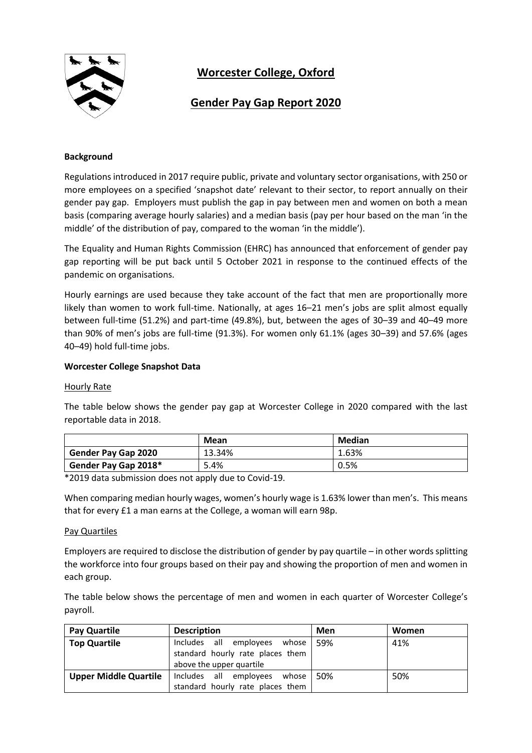

# **Worcester College, Oxford**

## **Gender Pay Gap Report 2020**

### **Background**

Regulations introduced in 2017 require public, private and voluntary sector organisations, with 250 or more employees on a specified 'snapshot date' relevant to their sector, to report annually on their gender pay gap. Employers must publish the gap in pay between men and women on both a mean basis (comparing average hourly salaries) and a median basis (pay per hour based on the man 'in the middle' of the distribution of pay, compared to the woman 'in the middle').

The Equality and Human Rights Commission (EHRC) has announced that enforcement of gender pay gap reporting will be put back until 5 October 2021 in response to the continued effects of the pandemic on organisations.

Hourly earnings are used because they take account of the fact that men are proportionally more likely than women to work full-time. Nationally, at ages 16–21 men's jobs are split almost equally between full-time (51.2%) and part-time (49.8%), but, between the ages of 30–39 and 40–49 more than 90% of men's jobs are full-time (91.3%). For women only 61.1% (ages 30–39) and 57.6% (ages 40–49) hold full-time jobs.

### **Worcester College Snapshot Data**

### Hourly Rate

The table below shows the gender pay gap at Worcester College in 2020 compared with the last reportable data in 2018.

|                            | Mean   | Median |
|----------------------------|--------|--------|
| <b>Gender Pay Gap 2020</b> | 13.34% | 1.63%  |
| Gender Pay Gap 2018*       | 5.4%   | 0.5%   |

\*2019 data submission does not apply due to Covid-19.

When comparing median hourly wages, women's hourly wage is 1.63% lower than men's. This means that for every £1 a man earns at the College, a woman will earn 98p.

### Pay Quartiles

Employers are required to disclose the distribution of gender by pay quartile – in other words splitting the workforce into four groups based on their pay and showing the proportion of men and women in each group.

The table below shows the percentage of men and women in each quarter of Worcester College's payroll.

| Pay Quartile                 | <b>Description</b>                                                     | Men | <b>Women</b> |
|------------------------------|------------------------------------------------------------------------|-----|--------------|
| <b>Top Quartile</b>          | Includes all<br>employees<br>whose<br>standard hourly rate places them | 59% | 41%          |
|                              | above the upper quartile                                               |     |              |
| <b>Upper Middle Quartile</b> | Includes all<br>employees<br>whose                                     | 50% | 50%          |
|                              | standard hourly rate places them                                       |     |              |